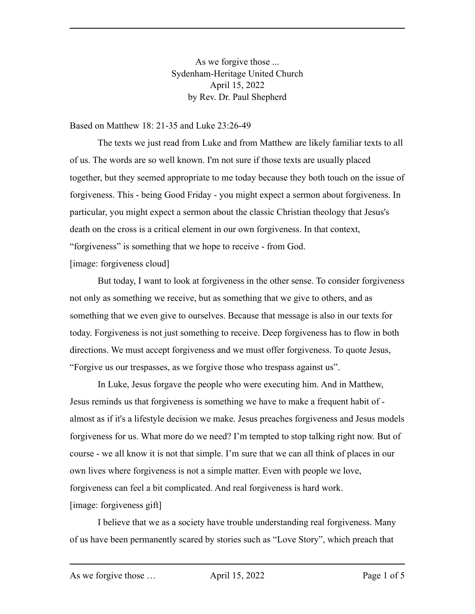As we forgive those ... Sydenham-Heritage United Church April 15, 2022 by Rev. Dr. Paul Shepherd

Based on Matthew 18: 21-35 and Luke 23:26-49

The texts we just read from Luke and from Matthew are likely familiar texts to all of us. The words are so well known. I'm not sure if those texts are usually placed together, but they seemed appropriate to me today because they both touch on the issue of forgiveness. This - being Good Friday - you might expect a sermon about forgiveness. In particular, you might expect a sermon about the classic Christian theology that Jesus's death on the cross is a critical element in our own forgiveness. In that context, "forgiveness" is something that we hope to receive - from God. [image: forgiveness cloud]

But today, I want to look at forgiveness in the other sense. To consider forgiveness not only as something we receive, but as something that we give to others, and as something that we even give to ourselves. Because that message is also in our texts for today. Forgiveness is not just something to receive. Deep forgiveness has to flow in both directions. We must accept forgiveness and we must offer forgiveness. To quote Jesus, "Forgive us our trespasses, as we forgive those who trespass against us".

In Luke, Jesus forgave the people who were executing him. And in Matthew, Jesus reminds us that forgiveness is something we have to make a frequent habit of almost as if it's a lifestyle decision we make. Jesus preaches forgiveness and Jesus models forgiveness for us. What more do we need? I'm tempted to stop talking right now. But of course - we all know it is not that simple. I'm sure that we can all think of places in our own lives where forgiveness is not a simple matter. Even with people we love, forgiveness can feel a bit complicated. And real forgiveness is hard work. [image: forgiveness gift]

I believe that we as a society have trouble understanding real forgiveness. Many of us have been permanently scared by stories such as "Love Story", which preach that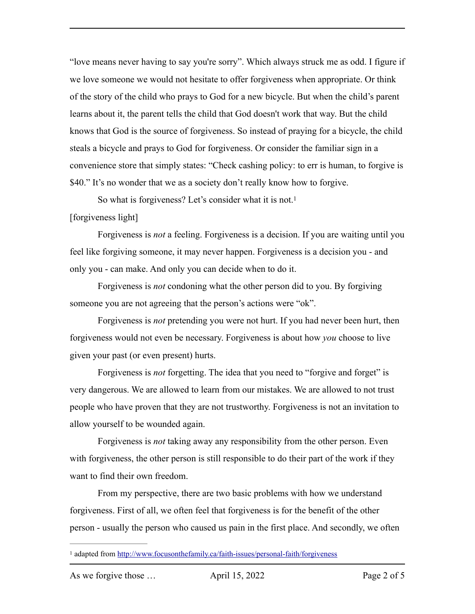"love means never having to say you're sorry". Which always struck me as odd. I figure if we love someone we would not hesitate to offer forgiveness when appropriate. Or think of the story of the child who prays to God for a new bicycle. But when the child's parent learns about it, the parent tells the child that God doesn't work that way. But the child knows that God is the source of forgiveness. So instead of praying for a bicycle, the child steals a bicycle and prays to God for forgiveness. Or consider the familiar sign in a convenience store that simply states: "Check cashing policy: to err is human, to forgive is \$40." It's no wonder that we as a society don't really know how to forgive.

<span id="page-1-1"></span>So what is forgiveness? Let's consider what it is not.<sup>1</sup>

## [forgiveness light]

Forgiveness is *not* a feeling. Forgiveness is a decision. If you are waiting until you feel like forgiving someone, it may never happen. Forgiveness is a decision you - and only you - can make. And only you can decide when to do it.

Forgiveness is *not* condoning what the other person did to you. By forgiving someone you are not agreeing that the person's actions were "ok".

Forgiveness is *not* pretending you were not hurt. If you had never been hurt, then forgiveness would not even be necessary. Forgiveness is about how *you* choose to live given your past (or even present) hurts.

Forgiveness is *not* forgetting. The idea that you need to "forgive and forget" is very dangerous. We are allowed to learn from our mistakes. We are allowed to not trust people who have proven that they are not trustworthy. Forgiveness is not an invitation to allow yourself to be wounded again.

Forgiveness is *not* taking away any responsibility from the other person. Even with forgiveness, the other person is still responsible to do their part of the work if they want to find their own freedom.

From my perspective, there are two basic problems with how we understand forgiveness. First of all, we often feel that forgiveness is for the benefit of the other person - usually the person who caused us pain in the first place. And secondly, we often

<span id="page-1-0"></span><sup>&</sup>lt;sup>1</sup> adapted from<http://www.focusonthefamily.ca/faith-issues/personal-faith/forgiveness>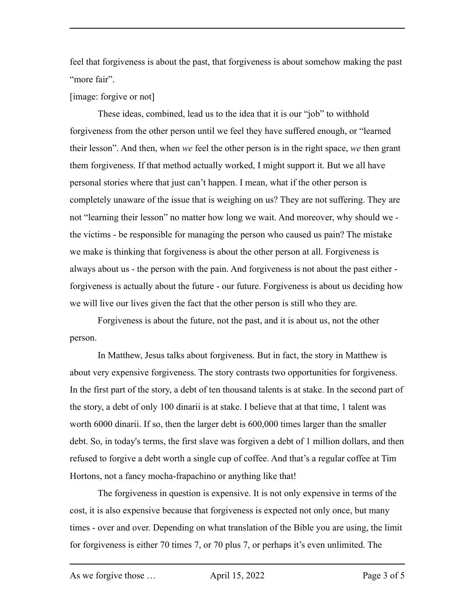feel that forgiveness is about the past, that forgiveness is about somehow making the past "more fair".

## [image: forgive or not]

These ideas, combined, lead us to the idea that it is our "job" to withhold forgiveness from the other person until we feel they have suffered enough, or "learned their lesson". And then, when *we* feel the other person is in the right space, *we* then grant them forgiveness. If that method actually worked, I might support it. But we all have personal stories where that just can't happen. I mean, what if the other person is completely unaware of the issue that is weighing on us? They are not suffering. They are not "learning their lesson" no matter how long we wait. And moreover, why should we the victims - be responsible for managing the person who caused us pain? The mistake we make is thinking that forgiveness is about the other person at all. Forgiveness is always about us - the person with the pain. And forgiveness is not about the past either forgiveness is actually about the future - our future. Forgiveness is about us deciding how we will live our lives given the fact that the other person is still who they are.

Forgiveness is about the future, not the past, and it is about us, not the other person.

In Matthew, Jesus talks about forgiveness. But in fact, the story in Matthew is about very expensive forgiveness. The story contrasts two opportunities for forgiveness. In the first part of the story, a debt of ten thousand talents is at stake. In the second part of the story, a debt of only 100 dinarii is at stake. I believe that at that time, 1 talent was worth 6000 dinarii. If so, then the larger debt is 600,000 times larger than the smaller debt. So, in today's terms, the first slave was forgiven a debt of 1 million dollars, and then refused to forgive a debt worth a single cup of coffee. And that's a regular coffee at Tim Hortons, not a fancy mocha-frapachino or anything like that!

The forgiveness in question is expensive. It is not only expensive in terms of the cost, it is also expensive because that forgiveness is expected not only once, but many times - over and over. Depending on what translation of the Bible you are using, the limit for forgiveness is either 70 times 7, or 70 plus 7, or perhaps it's even unlimited. The

As we forgive those ... April 15, 2022 Page 3 of 5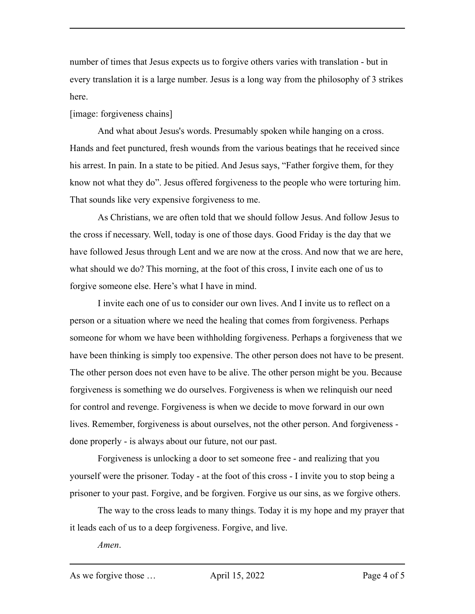number of times that Jesus expects us to forgive others varies with translation - but in every translation it is a large number. Jesus is a long way from the philosophy of 3 strikes here.

## [image: forgiveness chains]

And what about Jesus's words. Presumably spoken while hanging on a cross. Hands and feet punctured, fresh wounds from the various beatings that he received since his arrest. In pain. In a state to be pitied. And Jesus says, "Father forgive them, for they know not what they do". Jesus offered forgiveness to the people who were torturing him. That sounds like very expensive forgiveness to me.

As Christians, we are often told that we should follow Jesus. And follow Jesus to the cross if necessary. Well, today is one of those days. Good Friday is the day that we have followed Jesus through Lent and we are now at the cross. And now that we are here, what should we do? This morning, at the foot of this cross, I invite each one of us to forgive someone else. Here's what I have in mind.

I invite each one of us to consider our own lives. And I invite us to reflect on a person or a situation where we need the healing that comes from forgiveness. Perhaps someone for whom we have been withholding forgiveness. Perhaps a forgiveness that we have been thinking is simply too expensive. The other person does not have to be present. The other person does not even have to be alive. The other person might be you. Because forgiveness is something we do ourselves. Forgiveness is when we relinquish our need for control and revenge. Forgiveness is when we decide to move forward in our own lives. Remember, forgiveness is about ourselves, not the other person. And forgiveness done properly - is always about our future, not our past.

Forgiveness is unlocking a door to set someone free - and realizing that you yourself were the prisoner. Today - at the foot of this cross - I invite you to stop being a prisoner to your past. Forgive, and be forgiven. Forgive us our sins, as we forgive others.

The way to the cross leads to many things. Today it is my hope and my prayer that it leads each of us to a deep forgiveness. Forgive, and live.

*Amen*.